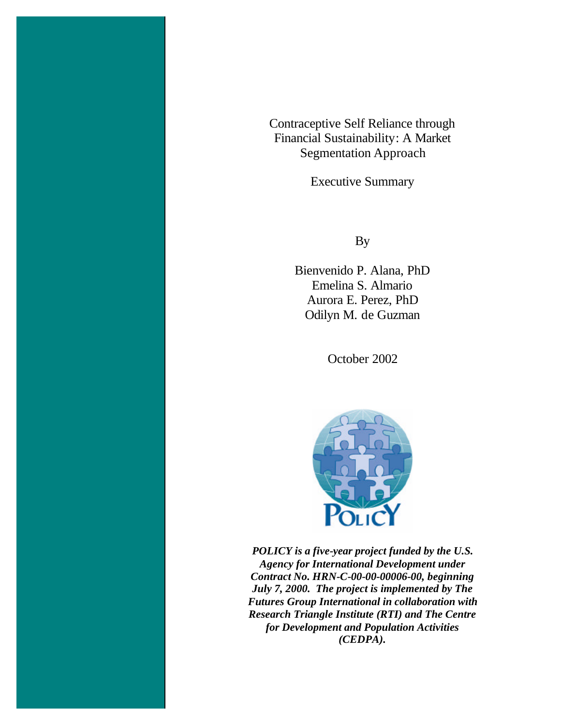Contraceptive Self Reliance through Financial Sustainability: A Market Segmentation Approach

Executive Summary

By

Bienvenido P. Alana, PhD Emelina S. Almario Aurora E. Perez, PhD Odilyn M. de Guzman

October 2002



*POLICY is a five-year project funded by the U.S. Agency for International Development under Contract No. HRN-C-00-00-00006-00, beginning July 7, 2000. The project is implemented by The Futures Group International in collaboration with Research Triangle Institute (RTI) and The Centre for Development and Population Activities (CEDPA).*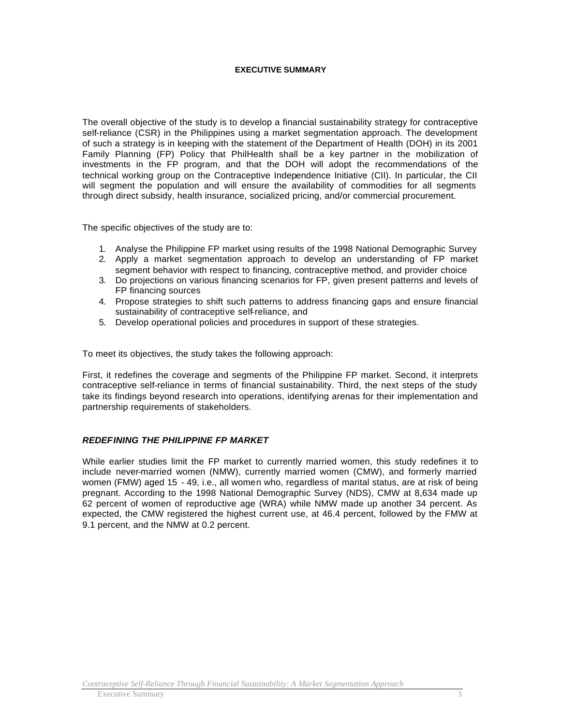#### **EXECUTIVE SUMMARY**

The overall objective of the study is to develop a financial sustainability strategy for contraceptive self-reliance (CSR) in the Philippines using a market segmentation approach. The development of such a strategy is in keeping with the statement of the Department of Health (DOH) in its 2001 Family Planning (FP) Policy that PhilHealth shall be a key partner in the mobilization of investments in the FP program, and that the DOH will adopt the recommendations of the technical working group on the Contraceptive Independence Initiative (CII). In particular, the CII will segment the population and will ensure the availability of commodities for all segments through direct subsidy, health insurance, socialized pricing, and/or commercial procurement.

The specific objectives of the study are to:

- 1. Analyse the Philippine FP market using results of the 1998 National Demographic Survey
- 2. Apply a market segmentation approach to develop an understanding of FP market segment behavior with respect to financing, contraceptive method, and provider choice
- 3. Do projections on various financing scenarios for FP, given present patterns and levels of FP financing sources
- 4. Propose strategies to shift such patterns to address financing gaps and ensure financial sustainability of contraceptive self-reliance, and
- 5. Develop operational policies and procedures in support of these strategies.

To meet its objectives, the study takes the following approach:

First, it redefines the coverage and segments of the Philippine FP market. Second, it interprets contraceptive self-reliance in terms of financial sustainability. Third, the next steps of the study take its findings beyond research into operations, identifying arenas for their implementation and partnership requirements of stakeholders.

### *REDEFINING THE PHILIPPINE FP MARKET*

While earlier studies limit the FP market to currently married women, this study redefines it to include never-married women (NMW), currently married women (CMW), and formerly married women (FMW) aged 15 - 49, i.e., all women who, regardless of marital status, are at risk of being pregnant. According to the 1998 National Demographic Survey (NDS), CMW at 8,634 made up 62 percent of women of reproductive age (WRA) while NMW made up another 34 percent. As expected, the CMW registered the highest current use, at 46.4 percent, followed by the FMW at 9.1 percent, and the NMW at 0.2 percent.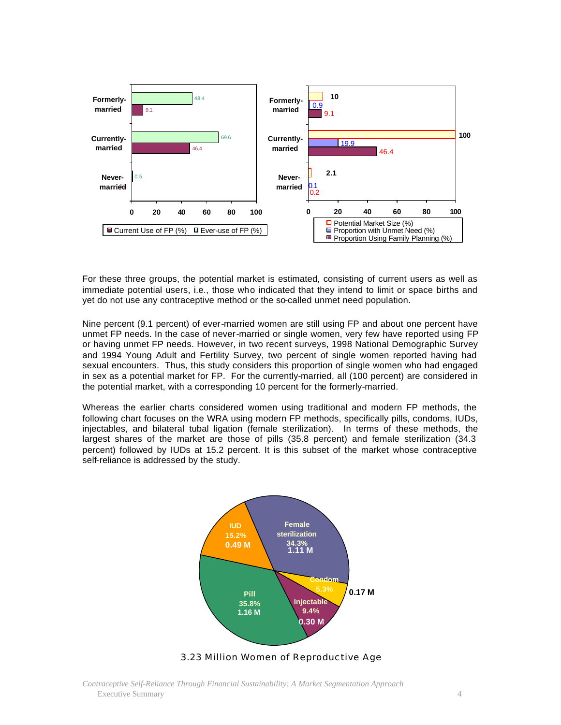

For these three groups, the potential market is estimated, consisting of current users as well as immediate potential users, i.e., those who indicated that they intend to limit or space births and yet do not use any contraceptive method or the so-called unmet need population.

Nine percent (9.1 percent) of ever-married women are still using FP and about one percent have unmet FP needs. In the case of never-married or single women, very few have reported using FP or having unmet FP needs. However, in two recent surveys, 1998 National Demographic Survey and 1994 Young Adult and Fertility Survey, two percent of single women reported having had sexual encounters. Thus, this study considers this proportion of single women who had engaged in sex as a potential market for FP. For the currently-married, all (100 percent) are considered in the potential market, with a corresponding 10 percent for the formerly-married.

Whereas the earlier charts considered women using traditional and modern FP methods, the following chart focuses on the WRA using modern FP methods, specifically pills, condoms, IUDs, injectables, and bilateral tubal ligation (female sterilization). In terms of these methods, the largest shares of the market are those of pills (35.8 percent) and female sterilization (34.3 percent) followed by IUDs at 15.2 percent. It is this subset of the market whose contraceptive self-reliance is addressed by the study.



3.23 Million Women of Reproductive Age

*Contraceptive Self-Reliance Through Financial Sustainability: A Market Segmentation Approach*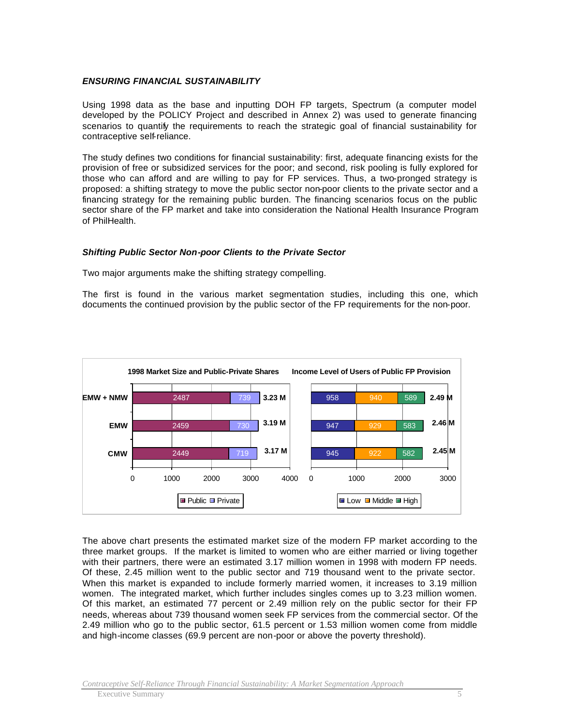## *ENSURING FINANCIAL SUSTAINABILITY*

Using 1998 data as the base and inputting DOH FP targets, Spectrum (a computer model developed by the POLICY Project and described in Annex 2) was used to generate financing scenarios to quantify the requirements to reach the strategic goal of financial sustainability for contraceptive self-reliance.

The study defines two conditions for financial sustainability: first, adequate financing exists for the provision of free or subsidized services for the poor; and second, risk pooling is fully explored for those who can afford and are willing to pay for FP services. Thus, a two-pronged strategy is proposed: a shifting strategy to move the public sector non-poor clients to the private sector and a financing strategy for the remaining public burden. The financing scenarios focus on the public sector share of the FP market and take into consideration the National Health Insurance Program of PhilHealth.

### *Shifting Public Sector Non-poor Clients to the Private Sector*

Two major arguments make the shifting strategy compelling.

The first is found in the various market segmentation studies, including this one, which documents the continued provision by the public sector of the FP requirements for the non-poor.



The above chart presents the estimated market size of the modern FP market according to the three market groups. If the market is limited to women who are either married or living together with their partners, there were an estimated 3.17 million women in 1998 with modern FP needs. Of these, 2.45 million went to the public sector and 719 thousand went to the private sector. When this market is expanded to include formerly married women, it increases to 3.19 million women. The integrated market, which further includes singles comes up to 3.23 million women. Of this market, an estimated 77 percent or 2.49 million rely on the public sector for their FP needs, whereas about 739 thousand women seek FP services from the commercial sector. Of the 2.49 million who go to the public sector, 61.5 percent or 1.53 million women come from middle and high-income classes (69.9 percent are non-poor or above the poverty threshold).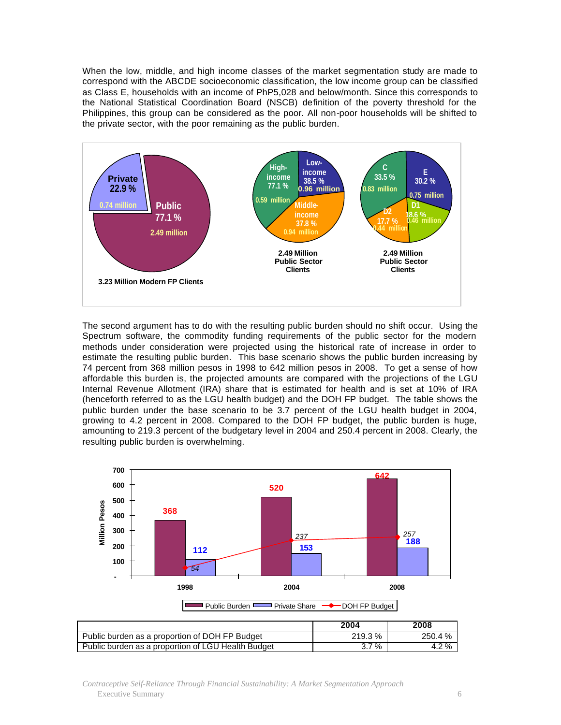When the low, middle, and high income classes of the market segmentation study are made to correspond with the ABCDE socioeconomic classification, the low income group can be classified as Class E, households with an income of PhP5,028 and below/month. Since this corresponds to the National Statistical Coordination Board (NSCB) definition of the poverty threshold for the Philippines, this group can be considered as the poor. All non-poor households will be shifted to the private sector, with the poor remaining as the public burden.



The second argument has to do with the resulting public burden should no shift occur. Using the Spectrum software, the commodity funding requirements of the public sector for the modern methods under consideration were projected using the historical rate of increase in order to estimate the resulting public burden. This base scenario shows the public burden increasing by 74 percent from 368 million pesos in 1998 to 642 million pesos in 2008. To get a sense of how affordable this burden is, the projected amounts are compared with the projections of the LGU Internal Revenue Allotment (IRA) share that is estimated for health and is set at 10% of IRA (henceforth referred to as the LGU health budget) and the DOH FP budget. The table shows the public burden under the base scenario to be 3.7 percent of the LGU health budget in 2004, growing to 4.2 percent in 2008. Compared to the DOH FP budget, the public burden is huge, amounting to 219.3 percent of the budgetary level in 2004 and 250.4 percent in 2008. Clearly, the resulting public burden is overwhelming.



|                                                    | 2004    | 2008    |
|----------------------------------------------------|---------|---------|
| Public burden as a proportion of DOH FP Budget     | 219.3 % | 250.4 % |
| Public burden as a proportion of LGU Health Budget | $3.7\%$ | 4.2%    |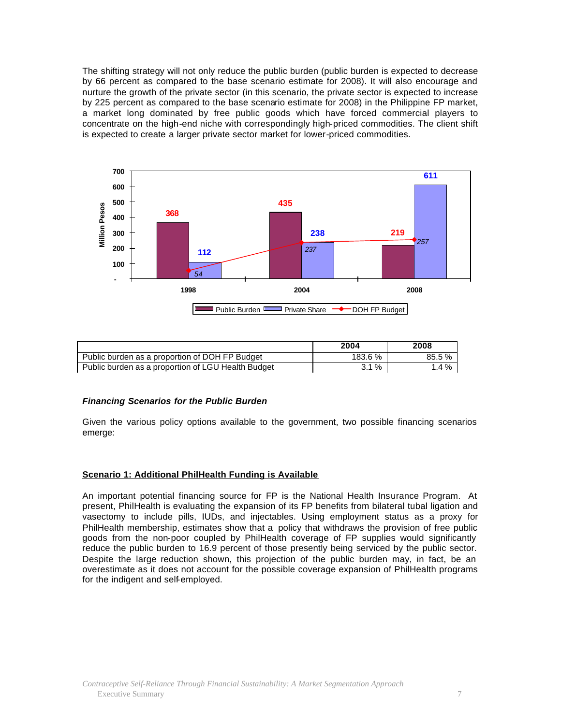The shifting strategy will not only reduce the public burden (public burden is expected to decrease by 66 percent as compared to the base scenario estimate for 2008). It will also encourage and nurture the growth of the private sector (in this scenario, the private sector is expected to increase by 225 percent as compared to the base scenario estimate for 2008) in the Philippine FP market, a market long dominated by free public goods which have forced commercial players to concentrate on the high-end niche with correspondingly high-priced commodities. The client shift is expected to create a larger private sector market for lower-priced commodities.



|                                                    | 2004    | 2008   |
|----------------------------------------------------|---------|--------|
| Public burden as a proportion of DOH FP Budget     | 183.6 % | 85.5 % |
| Public burden as a proportion of LGU Health Budget | 3.1%    | $.4\%$ |

# *Financing Scenarios for the Public Burden*

Given the various policy options available to the government, two possible financing scenarios emerge:

### **Scenario 1: Additional PhilHealth Funding is Available**

An important potential financing source for FP is the National Health Insurance Program. At present, PhilHealth is evaluating the expansion of its FP benefits from bilateral tubal ligation and vasectomy to include pills, IUDs, and injectables. Using employment status as a proxy for PhilHealth membership, estimates show that a policy that withdraws the provision of free public goods from the non-poor coupled by PhilHealth coverage of FP supplies would significantly reduce the public burden to 16.9 percent of those presently being serviced by the public sector. Despite the large reduction shown, this projection of the public burden may, in fact, be an overestimate as it does not account for the possible coverage expansion of PhilHealth programs for the indigent and self-employed.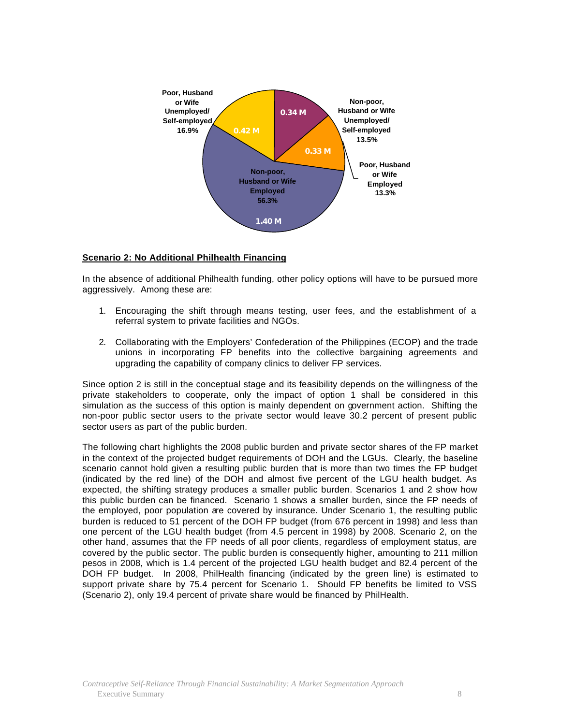

### **Scenario 2: No Additional Philhealth Financing**

In the absence of additional Philhealth funding, other policy options will have to be pursued more aggressively. Among these are:

- 1. Encouraging the shift through means testing, user fees, and the establishment of a referral system to private facilities and NGOs.
- 2. Collaborating with the Employers' Confederation of the Philippines (ECOP) and the trade unions in incorporating FP benefits into the collective bargaining agreements and upgrading the capability of company clinics to deliver FP services.

Since option 2 is still in the conceptual stage and its feasibility depends on the willingness of the private stakeholders to cooperate, only the impact of option 1 shall be considered in this simulation as the success of this option is mainly dependent on government action. Shifting the non-poor public sector users to the private sector would leave 30.2 percent of present public sector users as part of the public burden.

The following chart highlights the 2008 public burden and private sector shares of the FP market in the context of the projected budget requirements of DOH and the LGUs. Clearly, the baseline scenario cannot hold given a resulting public burden that is more than two times the FP budget (indicated by the red line) of the DOH and almost five percent of the LGU health budget. As expected, the shifting strategy produces a smaller public burden. Scenarios 1 and 2 show how this public burden can be financed. Scenario 1 shows a smaller burden, since the FP needs of the employed, poor population are covered by insurance. Under Scenario 1, the resulting public burden is reduced to 51 percent of the DOH FP budget (from 676 percent in 1998) and less than one percent of the LGU health budget (from 4.5 percent in 1998) by 2008. Scenario 2, on the other hand, assumes that the FP needs of all poor clients, regardless of employment status, are covered by the public sector. The public burden is consequently higher, amounting to 211 million pesos in 2008, which is 1.4 percent of the projected LGU health budget and 82.4 percent of the DOH FP budget. In 2008, PhilHealth financing (indicated by the green line) is estimated to support private share by 75.4 percent for Scenario 1. Should FP benefits be limited to VSS (Scenario 2), only 19.4 percent of private share would be financed by PhilHealth.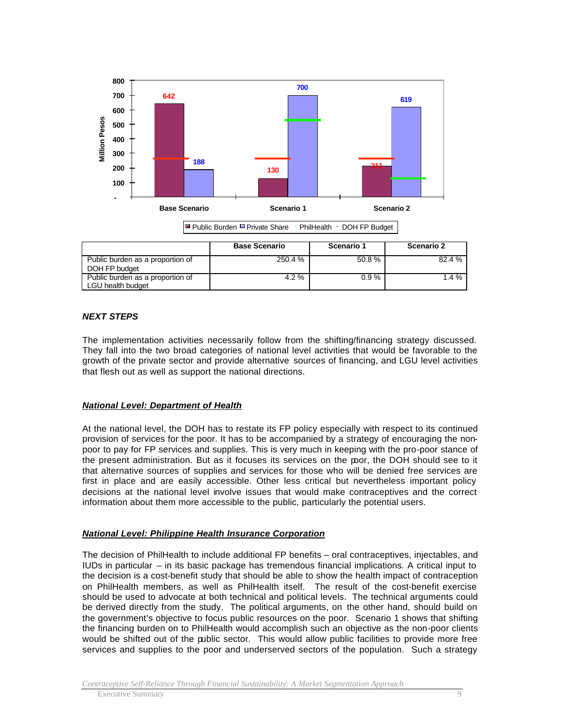

|                                                       | <b>Base Scenario</b> | Scenario 1 | <b>Scenario 2</b> |
|-------------------------------------------------------|----------------------|------------|-------------------|
| Public burden as a proportion of<br>DOH FP budget     | 250.4 %              | 50.8%      | 82.4%             |
| Public burden as a proportion of<br>LGU health budget | $4.2\%$              | 0.9%       | 1.4 %             |

### *NEXT STEPS*

The implementation activities necessarily follow from the shifting/financing strategy discussed. They fall into the two broad categories of national level activities that would be favorable to the growth of the private sector and provide alternative sources of financing, and LGU level activities that flesh out as well as support the national directions.

### *National Level: Department of Health*

At the national level, the DOH has to restate its FP policy especially with respect to its continued provision of services for the poor. It has to be accompanied by a strategy of encouraging the nonpoor to pay for FP services and supplies. This is very much in keeping with the pro-poor stance of the present administration. But as it focuses its services on the poor, the DOH should see to it that alternative sources of supplies and services for those who will be denied free services are first in place and are easily accessible. Other less critical but nevertheless important policy decisions at the national level involve issues that would make contraceptives and the correct information about them more accessible to the public, particularly the potential users.

# *National Level: Philippine Health Insurance Corporation*

The decision of PhilHealth to include additional FP benefits – oral contraceptives, injectables, and IUDs in particular – in its basic package has tremendous financial implications. A critical input to the decision is a cost-benefit study that should be able to show the health impact of contraception on PhilHealth members, as well as PhilHealth itself. The result of the cost-benefit exercise should be used to advocate at both technical and political levels. The technical arguments could be derived directly from the study. The political arguments, on the other hand, should build on the government's objective to focus public resources on the poor. Scenario 1 shows that shifting the financing burden on to PhilHealth would accomplish such an objective as the non-poor clients would be shifted out of the public sector. This would allow public facilities to provide more free services and supplies to the poor and underserved sectors of the population. Such a strategy